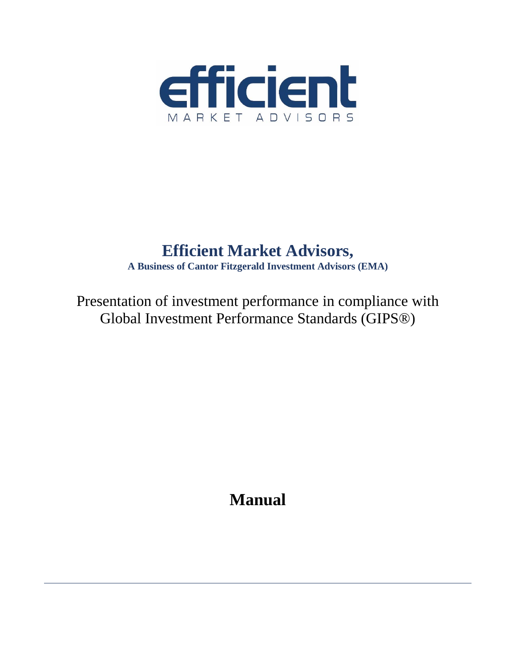

# **Efficient Market Advisors,**

**A Business of Cantor Fitzgerald Investment Advisors (EMA)**

Presentation of investment performance in compliance with Global Investment Performance Standards (GIPS®)

**Manual**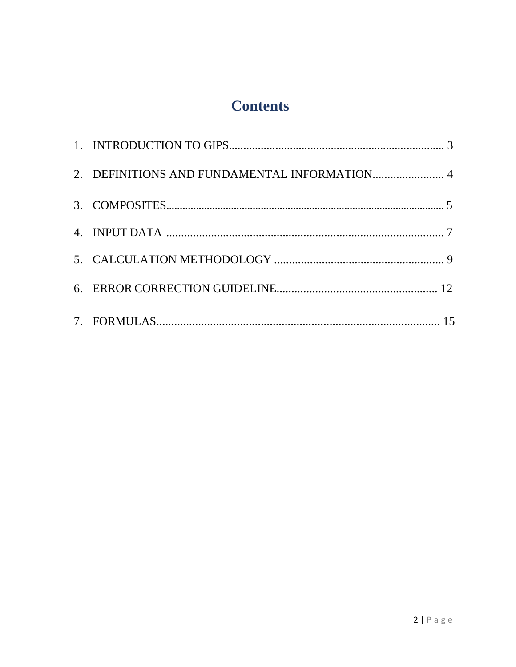# **Contents**

| 2. DEFINITIONS AND FUNDAMENTAL INFORMATION 4 |  |
|----------------------------------------------|--|
|                                              |  |
|                                              |  |
|                                              |  |
|                                              |  |
|                                              |  |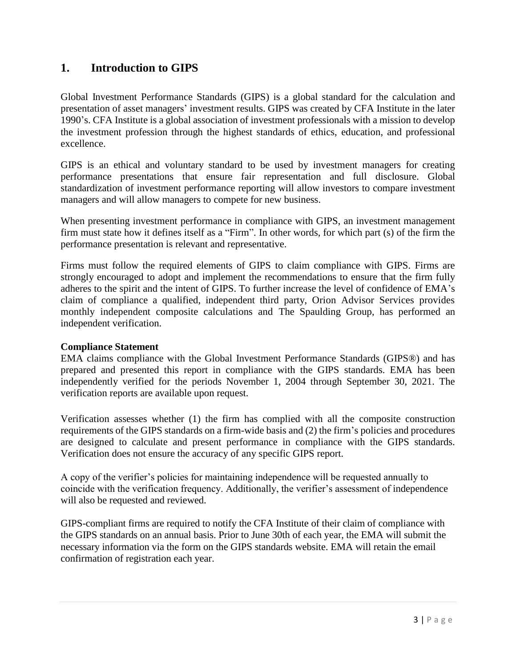# **1. Introduction to GIPS**

Global Investment Performance Standards (GIPS) is a global standard for the calculation and presentation of asset managers' investment results. GIPS was created by CFA Institute in the later 1990's. CFA Institute is a global association of investment professionals with a mission to develop the investment profession through the highest standards of ethics, education, and professional excellence.

GIPS is an ethical and voluntary standard to be used by investment managers for creating performance presentations that ensure fair representation and full disclosure. Global standardization of investment performance reporting will allow investors to compare investment managers and will allow managers to compete for new business.

When presenting investment performance in compliance with GIPS, an investment management firm must state how it defines itself as a "Firm". In other words, for which part (s) of the firm the performance presentation is relevant and representative.

Firms must follow the required elements of GIPS to claim compliance with GIPS. Firms are strongly encouraged to adopt and implement the recommendations to ensure that the firm fully adheres to the spirit and the intent of GIPS. To further increase the level of confidence of EMA's claim of compliance a qualified, independent third party, Orion Advisor Services provides monthly independent composite calculations and The Spaulding Group, has performed an independent verification.

#### **Compliance Statement**

EMA claims compliance with the Global Investment Performance Standards (GIPS®) and has prepared and presented this report in compliance with the GIPS standards. EMA has been independently verified for the periods November 1, 2004 through September 30, 2021. The verification reports are available upon request.

Verification assesses whether (1) the firm has complied with all the composite construction requirements of the GIPS standards on a firm-wide basis and (2) the firm's policies and procedures are designed to calculate and present performance in compliance with the GIPS standards. Verification does not ensure the accuracy of any specific GIPS report.

A copy of the verifier's policies for maintaining independence will be requested annually to coincide with the verification frequency. Additionally, the verifier's assessment of independence will also be requested and reviewed.

GIPS-compliant firms are required to notify the CFA Institute of their claim of compliance with the GIPS standards on an annual basis. Prior to June 30th of each year, the EMA will submit the necessary information via the form on the GIPS standards website. EMA will retain the email confirmation of registration each year.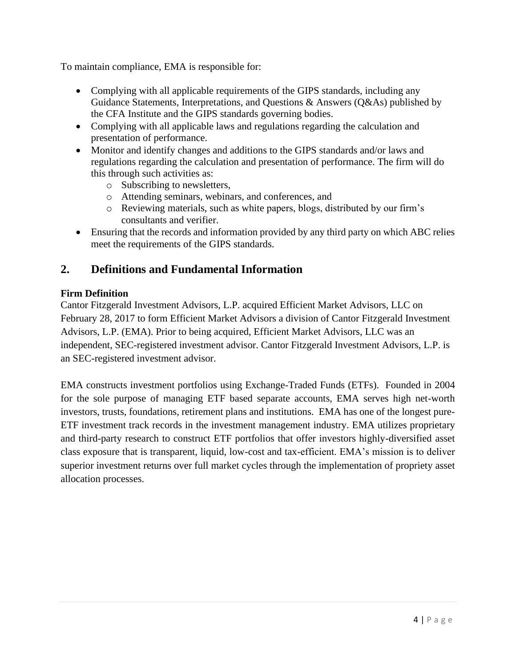To maintain compliance, EMA is responsible for:

- Complying with all applicable requirements of the GIPS standards, including any Guidance Statements, Interpretations, and Questions & Answers (Q&As) published by the CFA Institute and the GIPS standards governing bodies.
- Complying with all applicable laws and regulations regarding the calculation and presentation of performance.
- Monitor and identify changes and additions to the GIPS standards and/or laws and regulations regarding the calculation and presentation of performance. The firm will do this through such activities as:
	- o Subscribing to newsletters,
	- o Attending seminars, webinars, and conferences, and
	- o Reviewing materials, such as white papers, blogs, distributed by our firm's consultants and verifier.
- Ensuring that the records and information provided by any third party on which ABC relies meet the requirements of the GIPS standards.

# **2. Definitions and Fundamental Information**

#### **Firm Definition**

Cantor Fitzgerald Investment Advisors, L.P. acquired Efficient Market Advisors, LLC on February 28, 2017 to form Efficient Market Advisors a division of Cantor Fitzgerald Investment Advisors, L.P. (EMA). Prior to being acquired, Efficient Market Advisors, LLC was an independent, SEC-registered investment advisor. Cantor Fitzgerald Investment Advisors, L.P. is an SEC-registered investment advisor.

EMA constructs investment portfolios using Exchange-Traded Funds (ETFs). Founded in 2004 for the sole purpose of managing ETF based separate accounts, EMA serves high net-worth investors, trusts, foundations, retirement plans and institutions. EMA has one of the longest pure-ETF investment track records in the investment management industry. EMA utilizes proprietary and third-party research to construct ETF portfolios that offer investors highly-diversified asset class exposure that is transparent, liquid, low-cost and tax-efficient. EMA's mission is to deliver superior investment returns over full market cycles through the implementation of propriety asset allocation processes.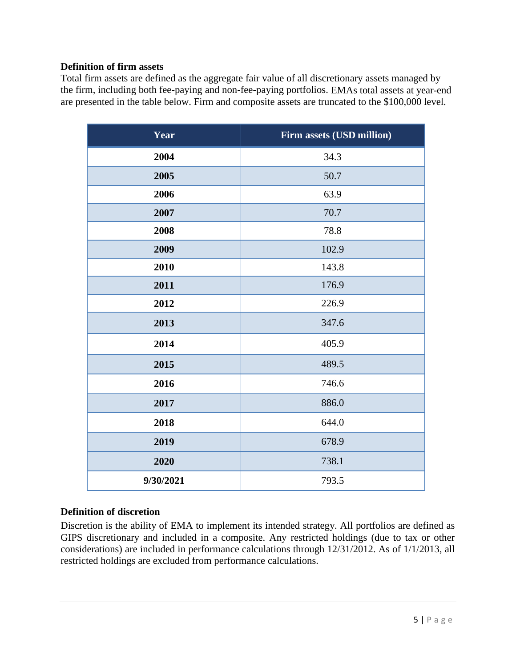#### **Definition of firm assets**

Total firm assets are defined as the aggregate fair value of all discretionary assets managed by the firm, including both fee-paying and non-fee-paying portfolios. EMAs total assets at year-end are presented in the table below. Firm and composite assets are truncated to the \$100,000 level.

| Year      | Firm assets (USD million) |
|-----------|---------------------------|
| 2004      | 34.3                      |
| 2005      | 50.7                      |
| 2006      | 63.9                      |
| 2007      | 70.7                      |
| 2008      | 78.8                      |
| 2009      | 102.9                     |
| 2010      | 143.8                     |
| 2011      | 176.9                     |
| 2012      | 226.9                     |
| 2013      | 347.6                     |
| 2014      | 405.9                     |
| 2015      | 489.5                     |
| 2016      | 746.6                     |
| 2017      | 886.0                     |
| 2018      | 644.0                     |
| 2019      | 678.9                     |
| 2020      | 738.1                     |
| 9/30/2021 | 793.5                     |

## **Definition of discretion**

Discretion is the ability of EMA to implement its intended strategy. All portfolios are defined as GIPS discretionary and included in a composite. Any restricted holdings (due to tax or other considerations) are included in performance calculations through 12/31/2012. As of 1/1/2013, all restricted holdings are excluded from performance calculations.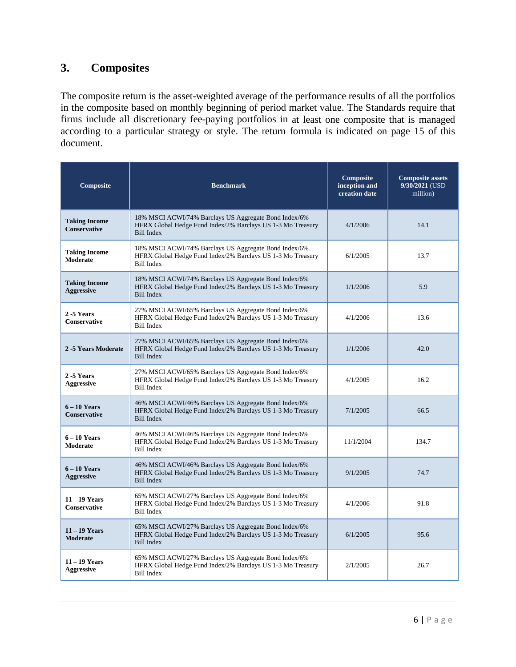# **3. Composites**

The composite return is the asset-weighted average of the performance results of all the portfolios in the composite based on monthly beginning of period market value. The Standards require that firms include all discretionary fee-paying portfolios in at least one composite that is managed according to a particular strategy or style. The return formula is indicated on page 15 of this document.

| Composite                                   | <b>Benchmark</b>                                                                                                                          | Composite<br>inception and<br>creation date | <b>Composite assets</b><br>9/30/2021 (USD<br>million) |
|---------------------------------------------|-------------------------------------------------------------------------------------------------------------------------------------------|---------------------------------------------|-------------------------------------------------------|
| <b>Taking Income</b><br><b>Conservative</b> | 18% MSCI ACWI/74% Barclays US Aggregate Bond Index/6%<br>HFRX Global Hedge Fund Index/2% Barclays US 1-3 Mo Treasury<br><b>Bill Index</b> | 4/1/2006                                    | 14.1                                                  |
| <b>Taking Income</b><br><b>Moderate</b>     | 18% MSCI ACWI/74% Barclays US Aggregate Bond Index/6%<br>HFRX Global Hedge Fund Index/2% Barclays US 1-3 Mo Treasury<br><b>Bill Index</b> | 6/1/2005                                    | 13.7                                                  |
| <b>Taking Income</b><br><b>Aggressive</b>   | 18% MSCI ACWI/74% Barclays US Aggregate Bond Index/6%<br>HFRX Global Hedge Fund Index/2% Barclays US 1-3 Mo Treasury<br><b>Bill Index</b> | 1/1/2006                                    | 5.9                                                   |
| 2-5 Years<br><b>Conservative</b>            | 27% MSCI ACWI/65% Barclays US Aggregate Bond Index/6%<br>HFRX Global Hedge Fund Index/2% Barclays US 1-3 Mo Treasury<br><b>Bill Index</b> | 4/1/2006                                    | 13.6                                                  |
| 2 -5 Years Moderate                         | 27% MSCI ACWI/65% Barclays US Aggregate Bond Index/6%<br>HFRX Global Hedge Fund Index/2% Barclays US 1-3 Mo Treasury<br><b>Bill Index</b> | 1/1/2006                                    | 42.0                                                  |
| 2 -5 Years<br><b>Aggressive</b>             | 27% MSCI ACWI/65% Barclays US Aggregate Bond Index/6%<br>HFRX Global Hedge Fund Index/2% Barclays US 1-3 Mo Treasury<br><b>Bill Index</b> | 4/1/2005                                    | 16.2                                                  |
| $6 - 10$ Years<br>Conservative              | 46% MSCI ACWI/46% Barclays US Aggregate Bond Index/6%<br>HFRX Global Hedge Fund Index/2% Barclays US 1-3 Mo Treasury<br><b>Bill Index</b> | 7/1/2005                                    | 66.5                                                  |
| $6 - 10$ Years<br><b>Moderate</b>           | 46% MSCI ACWI/46% Barclays US Aggregate Bond Index/6%<br>HFRX Global Hedge Fund Index/2% Barclays US 1-3 Mo Treasury<br><b>Bill Index</b> | 11/1/2004                                   | 134.7                                                 |
| $6 - 10$ Years<br><b>Aggressive</b>         | 46% MSCI ACWI/46% Barclays US Aggregate Bond Index/6%<br>HFRX Global Hedge Fund Index/2% Barclays US 1-3 Mo Treasury<br><b>Bill Index</b> | 9/1/2005                                    | 74.7                                                  |
| $11 - 19$ Years<br><b>Conservative</b>      | 65% MSCI ACWI/27% Barclays US Aggregate Bond Index/6%<br>HFRX Global Hedge Fund Index/2% Barclays US 1-3 Mo Treasury<br><b>Bill Index</b> | 4/1/2006                                    | 91.8                                                  |
| $11 - 19$ Years<br><b>Moderate</b>          | 65% MSCI ACWI/27% Barclays US Aggregate Bond Index/6%<br>HFRX Global Hedge Fund Index/2% Barclays US 1-3 Mo Treasury<br><b>Bill Index</b> | 6/1/2005                                    | 95.6                                                  |
| $11 - 19$ Years<br><b>Aggressive</b>        | 65% MSCI ACWI/27% Barclays US Aggregate Bond Index/6%<br>HFRX Global Hedge Fund Index/2% Barclays US 1-3 Mo Treasury<br><b>Bill Index</b> | 2/1/2005                                    | 26.7                                                  |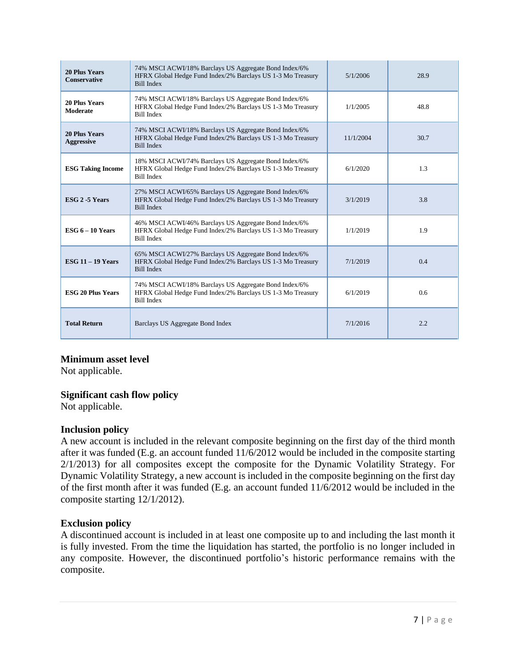| <b>20 Plus Years</b><br><b>Conservative</b> | 74% MSCI ACWI/18% Barclays US Aggregate Bond Index/6%<br>HFRX Global Hedge Fund Index/2% Barclays US 1-3 Mo Treasury<br><b>Bill Index</b> | 5/1/2006  | 28.9 |
|---------------------------------------------|-------------------------------------------------------------------------------------------------------------------------------------------|-----------|------|
| <b>20 Plus Years</b><br>Moderate            | 74% MSCI ACWI/18% Barclays US Aggregate Bond Index/6%<br>HFRX Global Hedge Fund Index/2% Barclays US 1-3 Mo Treasury<br><b>Bill Index</b> | 1/1/2005  | 48.8 |
| <b>20 Plus Years</b><br><b>Aggressive</b>   | 74% MSCI ACWI/18% Barclays US Aggregate Bond Index/6%<br>HFRX Global Hedge Fund Index/2% Barclays US 1-3 Mo Treasury<br><b>Bill Index</b> | 11/1/2004 | 30.7 |
| <b>ESG Taking Income</b>                    | 18% MSCI ACWI/74% Barclays US Aggregate Bond Index/6%<br>HFRX Global Hedge Fund Index/2% Barclays US 1-3 Mo Treasury<br><b>Bill Index</b> | 6/1/2020  | 1.3  |
| ESG 2 -5 Years                              | 27% MSCI ACWI/65% Barclays US Aggregate Bond Index/6%<br>HFRX Global Hedge Fund Index/2% Barclays US 1-3 Mo Treasury<br><b>Bill Index</b> | 3/1/2019  | 3.8  |
| ESG $6 - 10$ Years                          | 46% MSCI ACWI/46% Barclays US Aggregate Bond Index/6%<br>HFRX Global Hedge Fund Index/2% Barclays US 1-3 Mo Treasury<br><b>Bill Index</b> | 1/1/2019  | 1.9  |
| ESG $11 - 19$ Years                         | 65% MSCI ACWI/27% Barclays US Aggregate Bond Index/6%<br>HFRX Global Hedge Fund Index/2% Barclays US 1-3 Mo Treasury<br><b>Bill Index</b> | 7/1/2019  | 0.4  |
| <b>ESG 20 Plus Years</b>                    | 74% MSCI ACWI/18% Barclays US Aggregate Bond Index/6%<br>HFRX Global Hedge Fund Index/2% Barclays US 1-3 Mo Treasury<br><b>Bill Index</b> | 6/1/2019  | 0.6  |
| <b>Total Return</b>                         | Barclays US Aggregate Bond Index                                                                                                          | 7/1/2016  | 2.2  |

## **Minimum asset level**

Not applicable.

#### **Significant cash flow policy**

Not applicable.

#### **Inclusion policy**

A new account is included in the relevant composite beginning on the first day of the third month after it was funded (E.g. an account funded 11/6/2012 would be included in the composite starting 2/1/2013) for all composites except the composite for the Dynamic Volatility Strategy. For Dynamic Volatility Strategy, a new account is included in the composite beginning on the first day of the first month after it was funded (E.g. an account funded 11/6/2012 would be included in the composite starting 12/1/2012).

#### **Exclusion policy**

A discontinued account is included in at least one composite up to and including the last month it is fully invested. From the time the liquidation has started, the portfolio is no longer included in any composite. However, the discontinued portfolio's historic performance remains with the composite.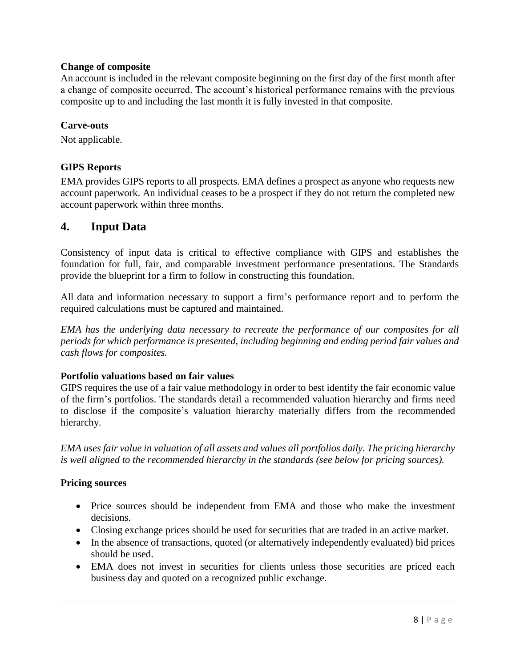#### **Change of composite**

An account is included in the relevant composite beginning on the first day of the first month after a change of composite occurred. The account's historical performance remains with the previous composite up to and including the last month it is fully invested in that composite.

#### **Carve-outs**

Not applicable.

## **GIPS Reports**

EMA provides GIPS reports to all prospects. EMA defines a prospect as anyone who requests new account paperwork. An individual ceases to be a prospect if they do not return the completed new account paperwork within three months.

# **4. Input Data**

Consistency of input data is critical to effective compliance with GIPS and establishes the foundation for full, fair, and comparable investment performance presentations. The Standards provide the blueprint for a firm to follow in constructing this foundation.

All data and information necessary to support a firm's performance report and to perform the required calculations must be captured and maintained.

*EMA has the underlying data necessary to recreate the performance of our composites for all periods for which performance is presented, including beginning and ending period fair values and cash flows for composites.*

#### **Portfolio valuations based on fair values**

GIPS requires the use of a fair value methodology in order to best identify the fair economic value of the firm's portfolios. The standards detail a recommended valuation hierarchy and firms need to disclose if the composite's valuation hierarchy materially differs from the recommended hierarchy.

*EMA uses fair value in valuation of all assets and values all portfolios daily. The pricing hierarchy is well aligned to the recommended hierarchy in the standards (see below for pricing sources).*

#### **Pricing sources**

- Price sources should be independent from EMA and those who make the investment decisions.
- Closing exchange prices should be used for securities that are traded in an active market.
- In the absence of transactions, quoted (or alternatively independently evaluated) bid prices should be used.
- EMA does not invest in securities for clients unless those securities are priced each business day and quoted on a recognized public exchange.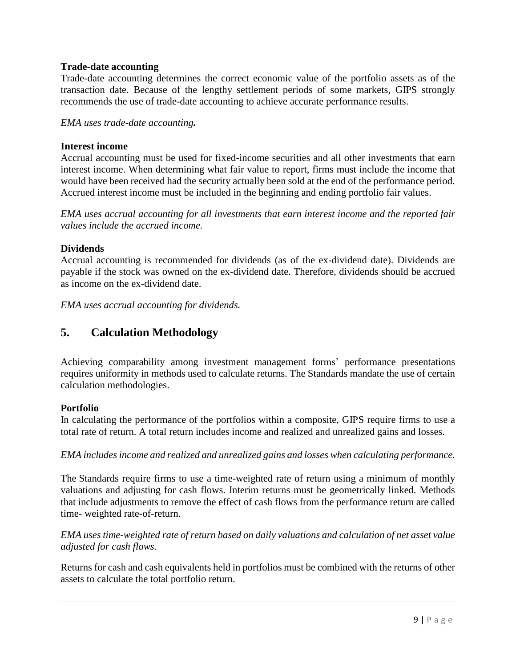#### **Trade-date accounting**

Trade-date accounting determines the correct economic value of the portfolio assets as of the transaction date. Because of the lengthy settlement periods of some markets, GIPS strongly recommends the use of trade-date accounting to achieve accurate performance results.

*EMA uses trade-date accounting.*

#### **Interest income**

Accrual accounting must be used for fixed-income securities and all other investments that earn interest income. When determining what fair value to report, firms must include the income that would have been received had the security actually been sold at the end of the performance period. Accrued interest income must be included in the beginning and ending portfolio fair values.

*EMA uses accrual accounting for all investments that earn interest income and the reported fair values include the accrued income.*

#### **Dividends**

Accrual accounting is recommended for dividends (as of the ex-dividend date). Dividends are payable if the stock was owned on the ex-dividend date. Therefore, dividends should be accrued as income on the ex-dividend date.

*EMA uses accrual accounting for dividends.*

# **5. Calculation Methodology**

Achieving comparability among investment management forms' performance presentations requires uniformity in methods used to calculate returns. The Standards mandate the use of certain calculation methodologies.

#### **Portfolio**

In calculating the performance of the portfolios within a composite, GIPS require firms to use a total rate of return. A total return includes income and realized and unrealized gains and losses.

*EMA includes income and realized and unrealized gains and losses when calculating performance.*

The Standards require firms to use a time-weighted rate of return using a minimum of monthly valuations and adjusting for cash flows. Interim returns must be geometrically linked. Methods that include adjustments to remove the effect of cash flows from the performance return are called time- weighted rate-of-return.

#### *EMA uses time-weighted rate of return based on daily valuations and calculation of net asset value adjusted for cash flows.*

Returns for cash and cash equivalents held in portfolios must be combined with the returns of other assets to calculate the total portfolio return.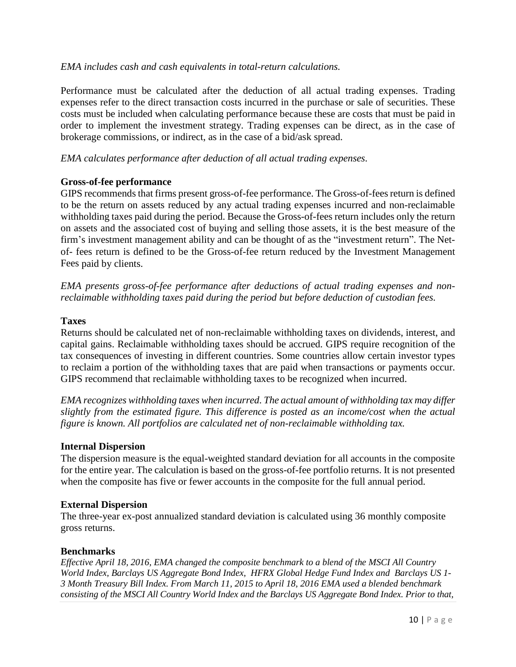#### *EMA includes cash and cash equivalents in total-return calculations.*

Performance must be calculated after the deduction of all actual trading expenses. Trading expenses refer to the direct transaction costs incurred in the purchase or sale of securities. These costs must be included when calculating performance because these are costs that must be paid in order to implement the investment strategy. Trading expenses can be direct, as in the case of brokerage commissions, or indirect, as in the case of a bid/ask spread.

*EMA calculates performance after deduction of all actual trading expenses.*

#### **Gross-of-fee performance**

GIPS recommends that firms present gross-of-fee performance. The Gross-of-fees return is defined to be the return on assets reduced by any actual trading expenses incurred and non-reclaimable withholding taxes paid during the period. Because the Gross-of-fees return includes only the return on assets and the associated cost of buying and selling those assets, it is the best measure of the firm's investment management ability and can be thought of as the "investment return". The Netof- fees return is defined to be the Gross-of-fee return reduced by the Investment Management Fees paid by clients.

*EMA presents gross-of-fee performance after deductions of actual trading expenses and nonreclaimable withholding taxes paid during the period but before deduction of custodian fees.*

#### **Taxes**

Returns should be calculated net of non-reclaimable withholding taxes on dividends, interest, and capital gains. Reclaimable withholding taxes should be accrued. GIPS require recognition of the tax consequences of investing in different countries. Some countries allow certain investor types to reclaim a portion of the withholding taxes that are paid when transactions or payments occur. GIPS recommend that reclaimable withholding taxes to be recognized when incurred.

*EMA recognizes withholding taxes when incurred. The actual amount of withholding tax may differ slightly from the estimated figure. This difference is posted as an income/cost when the actual figure is known. All portfolios are calculated net of non-reclaimable withholding tax.*

#### **Internal Dispersion**

The dispersion measure is the equal-weighted standard deviation for all accounts in the composite for the entire year. The calculation is based on the gross-of-fee portfolio returns. It is not presented when the composite has five or fewer accounts in the composite for the full annual period.

#### **External Dispersion**

The three-year ex-post annualized standard deviation is calculated using 36 monthly composite gross returns.

#### **Benchmarks**

*Effective April 18, 2016, EMA changed the composite benchmark to a blend of the MSCI All Country World Index, Barclays US Aggregate Bond Index, HFRX Global Hedge Fund Index and Barclays US 1- 3 Month Treasury Bill Index. From March 11, 2015 to April 18, 2016 EMA used a blended benchmark consisting of the MSCI All Country World Index and the Barclays US Aggregate Bond Index. Prior to that,*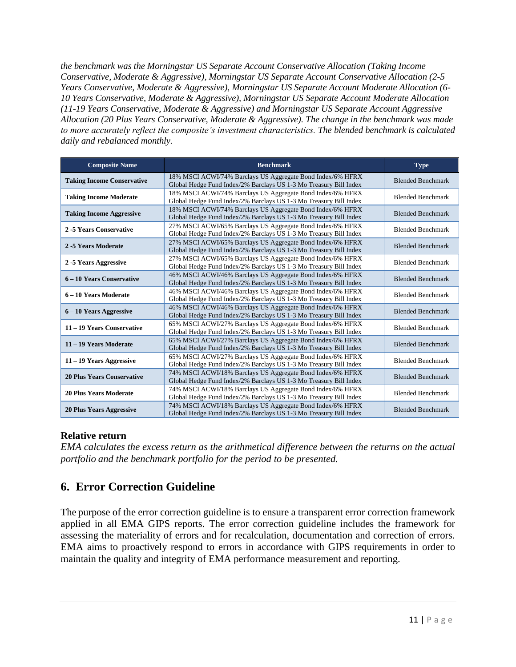*the benchmark was the Morningstar US Separate Account Conservative Allocation (Taking Income Conservative, Moderate & Aggressive), Morningstar US Separate Account Conservative Allocation (2-5 Years Conservative, Moderate & Aggressive), Morningstar US Separate Account Moderate Allocation (6- 10 Years Conservative, Moderate & Aggressive), Morningstar US Separate Account Moderate Allocation (11-19 Years Conservative, Moderate & Aggressive) and Morningstar US Separate Account Aggressive Allocation (20 Plus Years Conservative, Moderate & Aggressive). The change in the benchmark was made to more accurately reflect the composite's investment characteristics. The blended benchmark is calculated daily and rebalanced monthly.*

| <b>Composite Name</b>             | <b>Benchmark</b>                                                                                                                | <b>Type</b>              |
|-----------------------------------|---------------------------------------------------------------------------------------------------------------------------------|--------------------------|
| <b>Taking Income Conservative</b> | 18% MSCI ACWI/74% Barclays US Aggregate Bond Index/6% HFRX<br>Global Hedge Fund Index/2% Barclays US 1-3 Mo Treasury Bill Index | <b>Blended Benchmark</b> |
| <b>Taking Income Moderate</b>     | 18% MSCI ACWI/74% Barclays US Aggregate Bond Index/6% HFRX<br>Global Hedge Fund Index/2% Barclays US 1-3 Mo Treasury Bill Index | <b>Blended Benchmark</b> |
| <b>Taking Income Aggressive</b>   | 18% MSCI ACWI/74% Barclays US Aggregate Bond Index/6% HFRX<br>Global Hedge Fund Index/2% Barclays US 1-3 Mo Treasury Bill Index | <b>Blended Benchmark</b> |
| 2-5 Years Conservative            | 27% MSCI ACWI/65% Barclays US Aggregate Bond Index/6% HFRX<br>Global Hedge Fund Index/2% Barclays US 1-3 Mo Treasury Bill Index | <b>Blended Benchmark</b> |
| 2-5 Years Moderate                | 27% MSCI ACWI/65% Barclays US Aggregate Bond Index/6% HFRX<br>Global Hedge Fund Index/2% Barclays US 1-3 Mo Treasury Bill Index | <b>Blended Benchmark</b> |
| 2-5 Years Aggressive              | 27% MSCI ACWI/65% Barclays US Aggregate Bond Index/6% HFRX<br>Global Hedge Fund Index/2% Barclays US 1-3 Mo Treasury Bill Index | <b>Blended Benchmark</b> |
| 6 – 10 Years Conservative         | 46% MSCI ACWI/46% Barclays US Aggregate Bond Index/6% HFRX<br>Global Hedge Fund Index/2% Barclays US 1-3 Mo Treasury Bill Index | <b>Blended Benchmark</b> |
| 6 - 10 Years Moderate             | 46% MSCI ACWI/46% Barclays US Aggregate Bond Index/6% HFRX<br>Global Hedge Fund Index/2% Barclays US 1-3 Mo Treasury Bill Index | <b>Blended Benchmark</b> |
| 6 – 10 Years Aggressive           | 46% MSCI ACWI/46% Barclays US Aggregate Bond Index/6% HFRX<br>Global Hedge Fund Index/2% Barclays US 1-3 Mo Treasury Bill Index | <b>Blended Benchmark</b> |
| 11 - 19 Years Conservative        | 65% MSCI ACWI/27% Barclays US Aggregate Bond Index/6% HFRX<br>Global Hedge Fund Index/2% Barclays US 1-3 Mo Treasury Bill Index | <b>Blended Benchmark</b> |
| 11 - 19 Years Moderate            | 65% MSCI ACWI/27% Barclays US Aggregate Bond Index/6% HFRX<br>Global Hedge Fund Index/2% Barclays US 1-3 Mo Treasury Bill Index | <b>Blended Benchmark</b> |
| $11 - 19$ Years Aggressive        | 65% MSCI ACWI/27% Barclays US Aggregate Bond Index/6% HFRX<br>Global Hedge Fund Index/2% Barclays US 1-3 Mo Treasury Bill Index | <b>Blended Benchmark</b> |
| <b>20 Plus Years Conservative</b> | 74% MSCI ACWI/18% Barclays US Aggregate Bond Index/6% HFRX<br>Global Hedge Fund Index/2% Barclays US 1-3 Mo Treasury Bill Index | <b>Blended Benchmark</b> |
| <b>20 Plus Years Moderate</b>     | 74% MSCI ACWI/18% Barclays US Aggregate Bond Index/6% HFRX<br>Global Hedge Fund Index/2% Barclays US 1-3 Mo Treasury Bill Index | <b>Blended Benchmark</b> |
| <b>20 Plus Years Aggressive</b>   | 74% MSCI ACWI/18% Barclays US Aggregate Bond Index/6% HFRX<br>Global Hedge Fund Index/2% Barclays US 1-3 Mo Treasury Bill Index | <b>Blended Benchmark</b> |

## **Relative return**

*EMA calculates the excess return as the arithmetical difference between the returns on the actual portfolio and the benchmark portfolio for the period to be presented.*

# **6. Error Correction Guideline**

The purpose of the error correction guideline is to ensure a transparent error correction framework applied in all EMA GIPS reports. The error correction guideline includes the framework for assessing the materiality of errors and for recalculation, documentation and correction of errors. EMA aims to proactively respond to errors in accordance with GIPS requirements in order to maintain the quality and integrity of EMA performance measurement and reporting.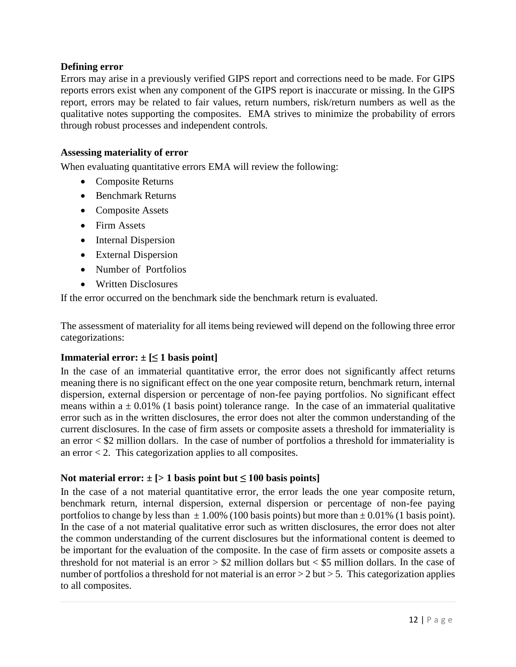#### **Defining error**

Errors may arise in a previously verified GIPS report and corrections need to be made. For GIPS reports errors exist when any component of the GIPS report is inaccurate or missing. In the GIPS report, errors may be related to fair values, return numbers, risk/return numbers as well as the qualitative notes supporting the composites. EMA strives to minimize the probability of errors through robust processes and independent controls.

#### **Assessing materiality of error**

When evaluating quantitative errors EMA will review the following:

- Composite Returns
- Benchmark Returns
- Composite Assets
- Firm Assets
- Internal Dispersion
- External Dispersion
- Number of Portfolios
- Written Disclosures

If the error occurred on the benchmark side the benchmark return is evaluated.

The assessment of materiality for all items being reviewed will depend on the following three error categorizations:

#### **Immaterial error:**  $\pm$  [ $\leq$  **1** basis point]

In the case of an immaterial quantitative error, the error does not significantly affect returns meaning there is no significant effect on the one year composite return, benchmark return, internal dispersion, external dispersion or percentage of non-fee paying portfolios. No significant effect means within a  $\pm$  0.01% (1 basis point) tolerance range. In the case of an immaterial qualitative error such as in the written disclosures, the error does not alter the common understanding of the current disclosures. In the case of firm assets or composite assets a threshold for immateriality is an error  $\langle$  \$2 million dollars. In the case of number of portfolios a threshold for immateriality is an error  $< 2$ . This categorization applies to all composites.

#### Not material error:  $\pm$  [> 1 basis point but  $\leq$  100 basis points]

In the case of a not material quantitative error, the error leads the one year composite return, benchmark return, internal dispersion, external dispersion or percentage of non-fee paying portfolios to change by less than  $\pm 1.00\%$  (100 basis points) but more than  $\pm 0.01\%$  (1 basis point). In the case of a not material qualitative error such as written disclosures, the error does not alter the common understanding of the current disclosures but the informational content is deemed to be important for the evaluation of the composite. In the case of firm assets or composite assets a threshold for not material is an error  $> $2$  million dollars but  $< $5$  million dollars. In the case of number of portfolios a threshold for not material is an error  $> 2$  but  $> 5$ . This categorization applies to all composites.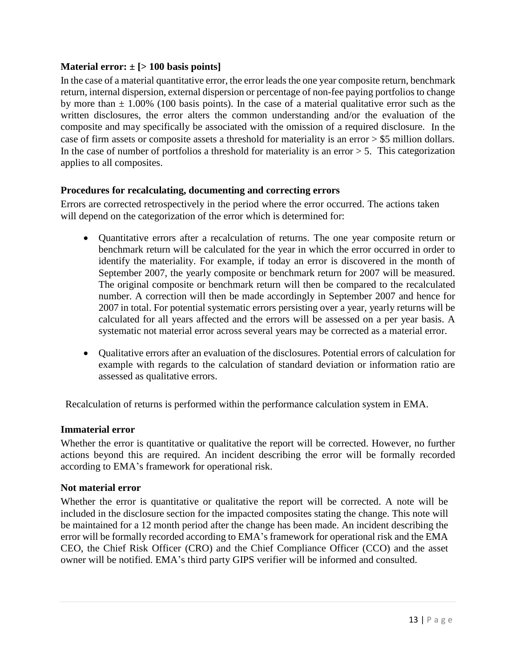#### **Material error: ± [> 100 basis points]**

In the case of a material quantitative error, the error leads the one year composite return, benchmark return, internal dispersion, external dispersion or percentage of non-fee paying portfolios to change by more than  $\pm$  1.00% (100 basis points). In the case of a material qualitative error such as the written disclosures, the error alters the common understanding and/or the evaluation of the composite and may specifically be associated with the omission of a required disclosure. In the case of firm assets or composite assets a threshold for materiality is an error > \$5 million dollars. In the case of number of portfolios a threshold for materiality is an error  $> 5$ . This categorization applies to all composites.

#### **Procedures for recalculating, documenting and correcting errors**

Errors are corrected retrospectively in the period where the error occurred. The actions taken will depend on the categorization of the error which is determined for:

- Quantitative errors after a recalculation of returns. The one year composite return or benchmark return will be calculated for the year in which the error occurred in order to identify the materiality. For example, if today an error is discovered in the month of September 2007, the yearly composite or benchmark return for 2007 will be measured. The original composite or benchmark return will then be compared to the recalculated number. A correction will then be made accordingly in September 2007 and hence for 2007 in total. For potential systematic errors persisting over a year, yearly returns will be calculated for all years affected and the errors will be assessed on a per year basis. A systematic not material error across several years may be corrected as a material error.
- Qualitative errors after an evaluation of the disclosures. Potential errors of calculation for example with regards to the calculation of standard deviation or information ratio are assessed as qualitative errors.

Recalculation of returns is performed within the performance calculation system in EMA.

#### **Immaterial error**

Whether the error is quantitative or qualitative the report will be corrected. However, no further actions beyond this are required. An incident describing the error will be formally recorded according to EMA's framework for operational risk.

#### **Not material error**

Whether the error is quantitative or qualitative the report will be corrected. A note will be included in the disclosure section for the impacted composites stating the change. This note will be maintained for a 12 month period after the change has been made. An incident describing the error will be formally recorded according to EMA's framework for operational risk and the EMA CEO, the Chief Risk Officer (CRO) and the Chief Compliance Officer (CCO) and the asset owner will be notified. EMA's third party GIPS verifier will be informed and consulted.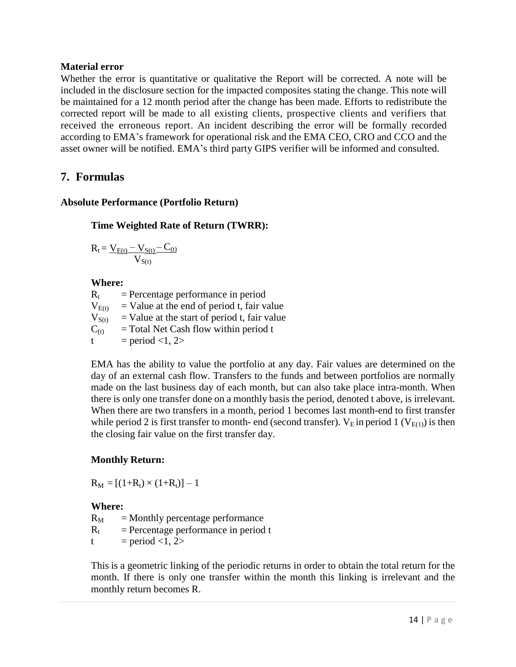#### **Material error**

Whether the error is quantitative or qualitative the Report will be corrected. A note will be included in the disclosure section for the impacted composites stating the change. This note will be maintained for a 12 month period after the change has been made. Efforts to redistribute the corrected report will be made to all existing clients, prospective clients and verifiers that received the erroneous report. An incident describing the error will be formally recorded according to EMA's framework for operational risk and the EMA CEO, CRO and CCO and the asset owner will be notified. EMA's third party GIPS verifier will be informed and consulted.

# **7. Formulas**

#### **Absolute Performance (Portfolio Return)**

#### **Time Weighted Rate of Return (TWRR):**

$$
R_t\!=\!\frac{V_{E(t)}\!-V_{S(t)}\!-\!C_{(t)}}{V_{S(t)}}
$$

#### **Where:**

 $R_t$  = Percentage performance in period  $V_{E(t)}$  = Value at the end of period t, fair value  $V_{S(t)}$  = Value at the start of period t, fair value  $C<sub>(t)</sub>$  = Total Net Cash flow within period t t = period <1, 2>

EMA has the ability to value the portfolio at any day. Fair values are determined on the day of an external cash flow. Transfers to the funds and between portfolios are normally made on the last business day of each month, but can also take place intra-month. When there is only one transfer done on a monthly basis the period, denoted t above, is irrelevant. When there are two transfers in a month, period 1 becomes last month-end to first transfer while period 2 is first transfer to month- end (second transfer).  $V_E$  in period 1 ( $V_{E(1)}$ ) is then the closing fair value on the first transfer day.

## **Monthly Return:**

 $R_M = [(1+R_t) \times (1+R_t)] - 1$ 

## **Where:**

 $R_M$  = Monthly percentage performance  $R_t$  = Percentage performance in period t

t = period <1, 2>

This is a geometric linking of the periodic returns in order to obtain the total return for the month. If there is only one transfer within the month this linking is irrelevant and the monthly return becomes R.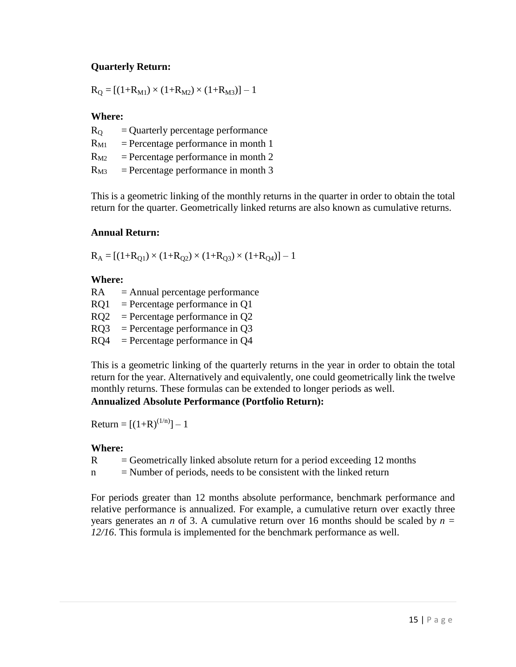## **Quarterly Return:**

 $R_{\text{O}} = [(1+R_{\text{M1}}) \times (1+R_{\text{M2}}) \times (1+R_{\text{M3}})] - 1$ 

## **Where:**

| $R_{O}$  | $=$ Quarterly percentage performance  |
|----------|---------------------------------------|
| $R_{M1}$ | $=$ Percentage performance in month 1 |
| $R_{M2}$ | $=$ Percentage performance in month 2 |
| $R_{M3}$ | $=$ Percentage performance in month 3 |

This is a geometric linking of the monthly returns in the quarter in order to obtain the total return for the quarter. Geometrically linked returns are also known as cumulative returns.

#### **Annual Return:**

 $R_A = [(1+R_{Q1}) \times (1+R_{Q2}) \times (1+R_{Q3}) \times (1+R_{Q4})] - 1$ 

#### **Where:**

 $RA = Annual percentage performance$  $RQ1$  = Percentage performance in Q1  $RO2 = Percentage performance in O2$ RQ3 = Percentage performance in Q3  $RQ4$  = Percentage performance in  $Q4$ 

This is a geometric linking of the quarterly returns in the year in order to obtain the total return for the year. Alternatively and equivalently, one could geometrically link the twelve monthly returns. These formulas can be extended to longer periods as well.

## **Annualized Absolute Performance (Portfolio Return):**

Return =  $[(1+R)^{(1/n)}]-1$ 

## **Where:**

 $R =$  Geometrically linked absolute return for a period exceeding 12 months

 $n =$  Number of periods, needs to be consistent with the linked return

For periods greater than 12 months absolute performance, benchmark performance and relative performance is annualized. For example, a cumulative return over exactly three years generates an *n* of 3. A cumulative return over 16 months should be scaled by  $n =$ *12/16*. This formula is implemented for the benchmark performance as well.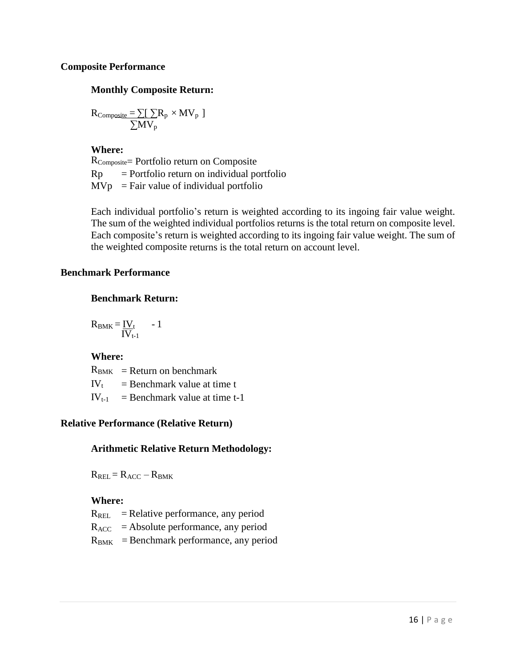#### **Composite Performance**

#### **Monthly Composite Return:**

$$
R_{\text{Composite}} = \sum[\sum R_p \times MV_p]
$$
  

$$
\sum MV_p
$$

**Where:** RComposite= Portfolio return on Composite  $Rp =$  Portfolio return on individual portfolio  $MVp = Fair value of individual portfolio$ 

Each individual portfolio's return is weighted according to its ingoing fair value weight. The sum of the weighted individual portfolios returns is the total return on composite level. Each composite's return is weighted according to its ingoing fair value weight. The sum of the weighted composite returns is the total return on account level.

#### **Benchmark Performance**

#### **Benchmark Return:**

$$
R_{\text{BMK}} = \frac{IV_{t}}{IV_{t-1}} - 1
$$

## **Where:**

 $R_{BMK}$  = Return on benchmark  $IV_t$  = Benchmark value at time t  $IV_{t-1}$  = Benchmark value at time t-1

## **Relative Performance (Relative Return)**

## **Arithmetic Relative Return Methodology:**

 $R_{REL} = R_{ACC} - R_{BMK}$ 

## **Where:**

- $R_{REL}$  = Relative performance, any period
- $R_{ACC}$  = Absolute performance, any period
- $R<sub>BMK</sub>$  = Benchmark performance, any period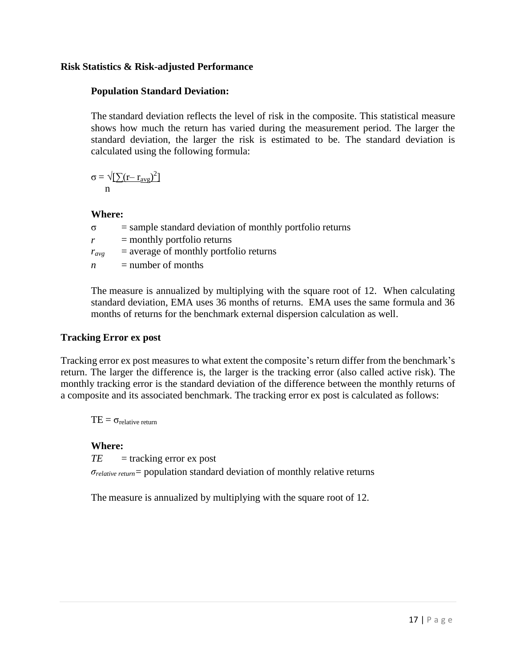#### **Risk Statistics & Risk-adjusted Performance**

#### **Population Standard Deviation:**

The standard deviation reflects the level of risk in the composite. This statistical measure shows how much the return has varied during the measurement period. The larger the standard deviation, the larger the risk is estimated to be. The standard deviation is calculated using the following formula:

$$
\sigma = \sqrt{[\sum (r - r_{avg})^2]} \, n
$$

#### **Where:**

 $\sigma$  = sample standard deviation of monthly portfolio returns  $r =$  monthly portfolio returns  $r_{avg}$  = average of monthly portfolio returns  $n =$  number of months

The measure is annualized by multiplying with the square root of 12. When calculating standard deviation, EMA uses 36 months of returns. EMA uses the same formula and 36 months of returns for the benchmark external dispersion calculation as well.

#### **Tracking Error ex post**

Tracking error ex post measures to what extent the composite's return differ from the benchmark's return. The larger the difference is, the larger is the tracking error (also called active risk). The monthly tracking error is the standard deviation of the difference between the monthly returns of a composite and its associated benchmark. The tracking error ex post is calculated as follows:

 $TE = \sigma_{\text{relative return}}$ 

#### **Where:**

 $TE$  = tracking error ex post

*σrelative return=* population standard deviation of monthly relative returns

The measure is annualized by multiplying with the square root of 12.